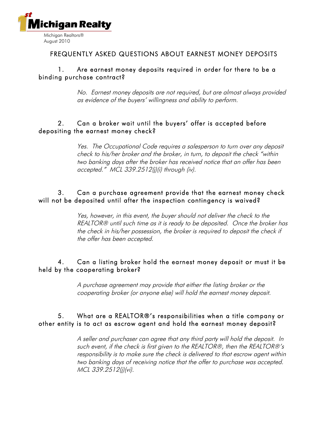

### FREQUENTLY ASKED QUESTIONS ABOUT EARNEST MONEY DEPOSITS

#### 1. Are earnest money deposits required in order for there to be a binding purchase contract?

No. Earnest money deposits are not required, but are almost always provided as evidence of the buyers' willingness and ability to perform.

## 2. Can a broker wait until the buyers' offer is accepted before depositing the earnest money check?

Yes. The Occupational Code requires a salesperson to turn over any deposit check to his/her broker and the broker, in turn, to deposit the check "within two banking days after the broker has received notice that an offer has been accepted." MCL 339.2512(j)(i) through (iv).

#### 3. Can a purchase agreement provide that the earnest money check will not be deposited until after the inspection contingency is waived?

Yes, however, in this event, the buyer should not deliver the check to the REALTOR® until such time as it is ready to be deposited. Once the broker has the check in his/her possession, the broker is required to deposit the check if the offer has been accepted.

#### 4. Can a listing broker hold the earnest money deposit or must it be held by the cooperating broker?

A purchase agreement may provide that either the listing broker or the cooperating broker (or anyone else) will hold the earnest money deposit.

## 5. What are a REALTOR®'s responsibilities when a title company or other entity is to act as escrow agent and hold the earnest money deposit?

A seller and purchaser can agree that any third party will hold the deposit. In such event, if the check is first given to the REALTOR®, then the REALTOR®'s responsibility is to make sure the check is delivered to that escrow agent within two banking days of receiving notice that the offer to purchase was accepted. MCL 339.2512(j)(vi).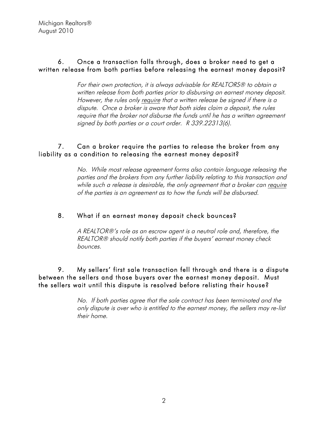## 6. Once a transaction falls through, does a broker need to get a written release from both parties before releasing the earnest money deposit?

For their own protection, it is always advisable for REALTORS® to obtain a written release from both parties prior to disbursing an earnest money deposit. However, the rules only require that a written release be signed if there is a dispute. Once a broker is aware that both sides claim a deposit, the rules require that the broker not disburse the funds until he has a written agreement signed by both parties or a court order. R 339.22313(6).

# 7. Can a broker require the parties to release the broker from any liability as a condition to releasing the earnest money deposit?

No. While most release agreement forms also contain language releasing the parties and the brokers from any further liability relating to this transaction and while such a release is desirable, the only agreement that a broker can require of the parties is an agreement as to how the funds will be disbursed.

# 8. What if an earnest money deposit check bounces?

A REALTOR®'s role as an escrow agent is a neutral role and, therefore, the REALTOR® should notify both parties if the buyers' earnest money check bounces.

9. My sellers' first sale transaction fell through and there is a dispute between the sellers and those buyers over the earnest money deposit. Must the sellers wait until this dispute is resolved before relisting their house?

> No. If both parties agree that the sale contract has been terminated and the only dispute is over who is entitled to the earnest money, the sellers may re-list their home.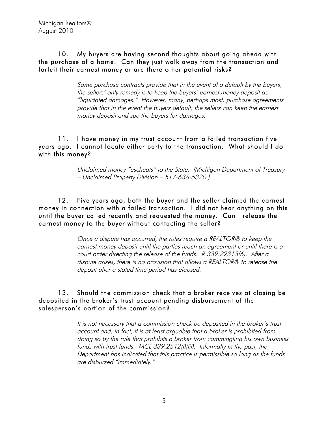## 10. My buyers are having second thoughts about going ahead with the purchase of a home. Can they just walk away from the transaction and forfeit their earnest money or are there other potential risks?

Some purchase contracts provide that in the event of a default by the buyers, the sellers' only remedy is to keep the buyers' earnest money deposit as "liquidated damages." However, many, perhaps most, purchase agreements provide that in the event the buyers default, the sellers can keep the earnest money deposit and sue the buyers for damages.

#### 11. I have money in my trust account from a failed transaction five years ago. I cannot locate either party to the transaction. What should I do with this money?

Unclaimed money "escheats" to the State. (Michigan Department of Treasury – Unclaimed Property Division – 517-636-5320.)

12. Five years ago, both the buyer and the seller claimed the earnest money in connection with a failed transaction. I did not hear anything on this until the buyer called recently and requested the money. Can I release the earnest money to the buyer without contacting the seller?

> Once a dispute has occurred, the rules require a REALTOR® to keep the earnest money deposit until the parties reach an agreement or until there is a court order directing the release of the funds. R 339.22313(6). After a dispute arises, there is no provision that allows a REALTOR® to release the deposit after a stated time period has elapsed.

13. Should the commission check that a broker receives at closing be deposited in the broker's trust account pending disbursement of the salesperson's portion of the commission?

> It is not necessary that a commission check be deposited in the broker's trust account and, in fact, it is at least arguable that a broker is prohibited from doing so by the rule that prohibits a broker from commingling his own business funds with trust funds. MCL 339.2512(j)(iii). Informally in the past, the Department has indicated that this practice is permissible so long as the funds are disbursed "immediately."